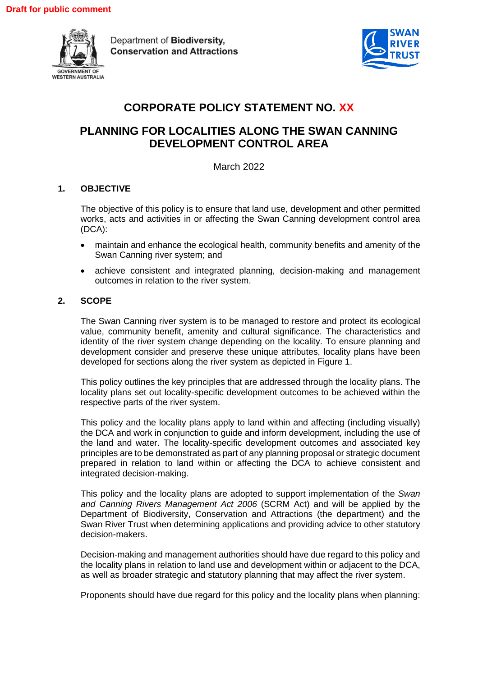

Department of Biodiversity. **Conservation and Attractions** 



# **CORPORATE POLICY STATEMENT NO. XX**

# **PLANNING FOR LOCALITIES ALONG THE SWAN CANNING DEVELOPMENT CONTROL AREA**

March 2022

## **1. OBJECTIVE**

The objective of this policy is to ensure that land use, development and other permitted works, acts and activities in or affecting the Swan Canning development control area (DCA):

- maintain and enhance the ecological health, community benefits and amenity of the Swan Canning river system; and
- achieve consistent and integrated planning, decision-making and management outcomes in relation to the river system.

## **2. SCOPE**

The Swan Canning river system is to be managed to restore and protect its ecological value, community benefit, amenity and cultural significance. The characteristics and identity of the river system change depending on the locality. To ensure planning and development consider and preserve these unique attributes, locality plans have been developed for sections along the river system as depicted in Figure 1.

This policy outlines the key principles that are addressed through the locality plans. The locality plans set out locality-specific development outcomes to be achieved within the respective parts of the river system.

This policy and the locality plans apply to land within and affecting (including visually) the DCA and work in conjunction to guide and inform development, including the use of the land and water. The locality-specific development outcomes and associated key principles are to be demonstrated as part of any planning proposal or strategic document prepared in relation to land within or affecting the DCA to achieve consistent and integrated decision-making.

This policy and the locality plans are adopted to support implementation of the *Swan and Canning Rivers Management Act 2006* (SCRM Act) and will be applied by the Department of Biodiversity, Conservation and Attractions (the department) and the Swan River Trust when determining applications and providing advice to other statutory decision-makers.

Decision-making and management authorities should have due regard to this policy and the locality plans in relation to land use and development within or adjacent to the DCA, as well as broader strategic and statutory planning that may affect the river system.

Proponents should have due regard for this policy and the locality plans when planning: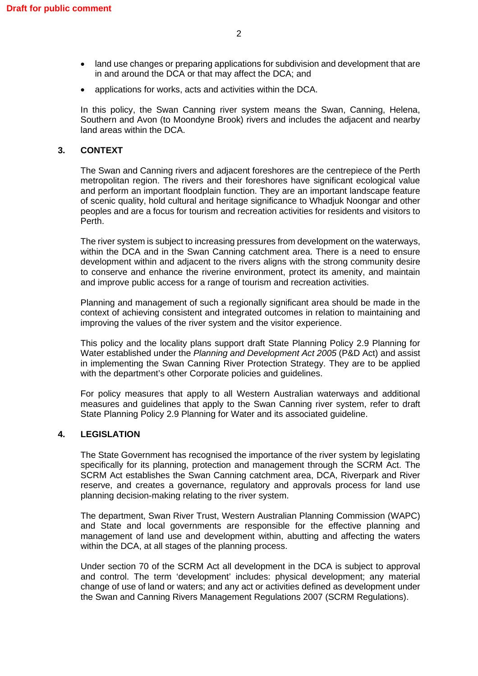- land use changes or preparing applications for subdivision and development that are in and around the DCA or that may affect the DCA; and
- applications for works, acts and activities within the DCA.

In this policy, the Swan Canning river system means the Swan, Canning, Helena, Southern and Avon (to Moondyne Brook) rivers and includes the adjacent and nearby land areas within the DCA.

## **3. CONTEXT**

The Swan and Canning rivers and adjacent foreshores are the centrepiece of the Perth metropolitan region. The rivers and their foreshores have significant ecological value and perform an important floodplain function. They are an important landscape feature of scenic quality, hold cultural and heritage significance to Whadjuk Noongar and other peoples and are a focus for tourism and recreation activities for residents and visitors to Perth.

The river system is subject to increasing pressures from development on the waterways, within the DCA and in the Swan Canning catchment area. There is a need to ensure development within and adjacent to the rivers aligns with the strong community desire to conserve and enhance the riverine environment, protect its amenity, and maintain and improve public access for a range of tourism and recreation activities.

Planning and management of such a regionally significant area should be made in the context of achieving consistent and integrated outcomes in relation to maintaining and improving the values of the river system and the visitor experience.

This policy and the locality plans support draft State Planning Policy 2.9 Planning for Water established under the *Planning and Development Act 2005* (P&D Act) and assist in implementing the Swan Canning River Protection Strategy. They are to be applied with the department's other Corporate policies and guidelines.

For policy measures that apply to all Western Australian waterways and additional measures and guidelines that apply to the Swan Canning river system, refer to draft State Planning Policy 2.9 Planning for Water and its associated guideline.

## **4. LEGISLATION**

The State Government has recognised the importance of the river system by legislating specifically for its planning, protection and management through the SCRM Act. The SCRM Act establishes the Swan Canning catchment area, DCA, Riverpark and River reserve, and creates a governance, regulatory and approvals process for land use planning decision-making relating to the river system.

The department, Swan River Trust, Western Australian Planning Commission (WAPC) and State and local governments are responsible for the effective planning and management of land use and development within, abutting and affecting the waters within the DCA, at all stages of the planning process.

Under section 70 of the SCRM Act all development in the DCA is subject to approval and control. The term 'development' includes: physical development; any material change of use of land or waters; and any act or activities defined as development under the Swan and Canning Rivers Management Regulations 2007 (SCRM Regulations).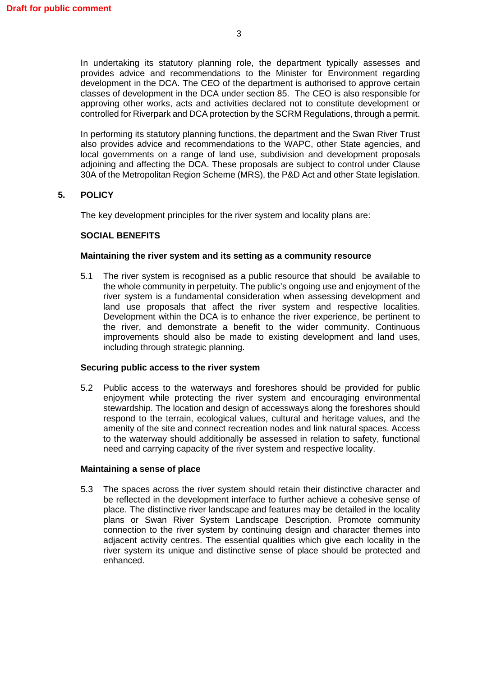In undertaking its statutory planning role, the department typically assesses and provides advice and recommendations to the Minister for Environment regarding development in the DCA. The CEO of the department is authorised to approve certain classes of development in the DCA under section 85. The CEO is also responsible for approving other works, acts and activities declared not to constitute development or controlled for Riverpark and DCA protection by the SCRM Regulations, through a permit.

In performing its statutory planning functions, the department and the Swan River Trust also provides advice and recommendations to the WAPC, other State agencies, and local governments on a range of land use, subdivision and development proposals adjoining and affecting the DCA. These proposals are subject to control under Clause 30A of the Metropolitan Region Scheme (MRS), the P&D Act and other State legislation.

## **5. POLICY**

The key development principles for the river system and locality plans are:

## **SOCIAL BENEFITS**

## **Maintaining the river system and its setting as a community resource**

5.1 The river system is recognised as a public resource that should be available to the whole community in perpetuity. The public's ongoing use and enjoyment of the river system is a fundamental consideration when assessing development and land use proposals that affect the river system and respective localities. Development within the DCA is to enhance the river experience, be pertinent to the river, and demonstrate a benefit to the wider community. Continuous improvements should also be made to existing development and land uses, including through strategic planning.

## **Securing public access to the river system**

5.2 Public access to the waterways and foreshores should be provided for public enjoyment while protecting the river system and encouraging environmental stewardship. The location and design of accessways along the foreshores should respond to the terrain, ecological values, cultural and heritage values, and the amenity of the site and connect recreation nodes and link natural spaces. Access to the waterway should additionally be assessed in relation to safety, functional need and carrying capacity of the river system and respective locality.

## **Maintaining a sense of place**

5.3 The spaces across the river system should retain their distinctive character and be reflected in the development interface to further achieve a cohesive sense of place. The distinctive river landscape and features may be detailed in the locality plans or Swan River System Landscape Description. Promote community connection to the river system by continuing design and character themes into adjacent activity centres. The essential qualities which give each locality in the river system its unique and distinctive sense of place should be protected and enhanced.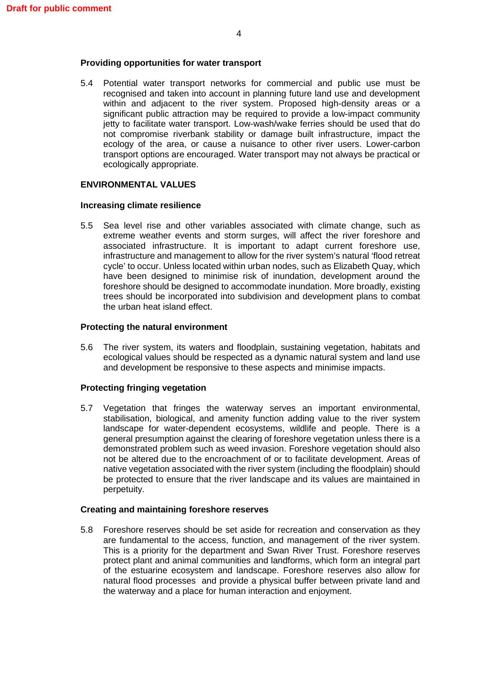### **Providing opportunities for water transport**

5.4 Potential water transport networks for commercial and public use must be recognised and taken into account in planning future land use and development within and adjacent to the river system. Proposed high-density areas or a significant public attraction may be required to provide a low-impact community jetty to facilitate water transport. Low-wash/wake ferries should be used that do not compromise riverbank stability or damage built infrastructure, impact the ecology of the area, or cause a nuisance to other river users. Lower-carbon transport options are encouraged. Water transport may not always be practical or ecologically appropriate.

## **ENVIRONMENTAL VALUES**

#### **Increasing climate resilience**

5.5 Sea level rise and other variables associated with climate change, such as extreme weather events and storm surges, will affect the river foreshore and associated infrastructure. It is important to adapt current foreshore use, infrastructure and management to allow for the river system's natural 'flood retreat cycle' to occur. Unless located within urban nodes, such as Elizabeth Quay, which have been designed to minimise risk of inundation, development around the foreshore should be designed to accommodate inundation. More broadly, existing trees should be incorporated into subdivision and development plans to combat the urban heat island effect.

## **Protecting the natural environment**

5.6 The river system, its waters and floodplain, sustaining vegetation, habitats and ecological values should be respected as a dynamic natural system and land use and development be responsive to these aspects and minimise impacts.

## **Protecting fringing vegetation**

5.7 Vegetation that fringes the waterway serves an important environmental, stabilisation, biological, and amenity function adding value to the river system landscape for water-dependent ecosystems, wildlife and people. There is a general presumption against the clearing of foreshore vegetation unless there is a demonstrated problem such as weed invasion. Foreshore vegetation should also not be altered due to the encroachment of or to facilitate development. Areas of native vegetation associated with the river system (including the floodplain) should be protected to ensure that the river landscape and its values are maintained in perpetuity.

## **Creating and maintaining foreshore reserves**

5.8 Foreshore reserves should be set aside for recreation and conservation as they are fundamental to the access, function, and management of the river system. This is a priority for the department and Swan River Trust. Foreshore reserves protect plant and animal communities and landforms, which form an integral part of the estuarine ecosystem and landscape. Foreshore reserves also allow for natural flood processes and provide a physical buffer between private land and the waterway and a place for human interaction and enjoyment.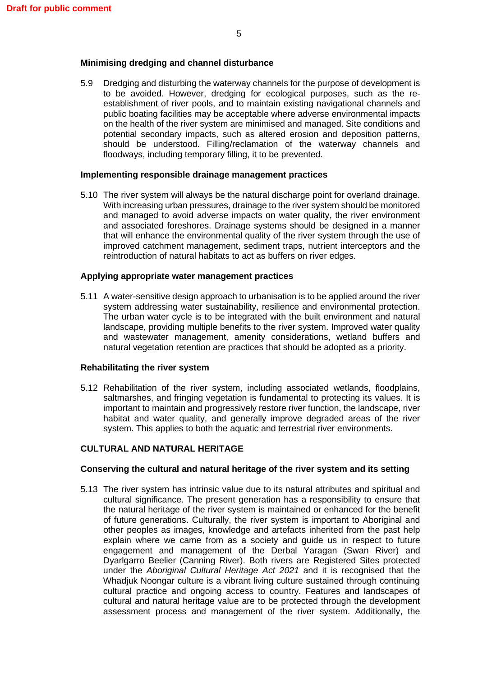## **Minimising dredging and channel disturbance**

5.9 Dredging and disturbing the waterway channels for the purpose of development is to be avoided. However, dredging for ecological purposes, such as the reestablishment of river pools, and to maintain existing navigational channels and public boating facilities may be acceptable where adverse environmental impacts on the health of the river system are minimised and managed. Site conditions and potential secondary impacts, such as altered erosion and deposition patterns, should be understood. Filling/reclamation of the waterway channels and floodways, including temporary filling, it to be prevented.

#### **Implementing responsible drainage management practices**

5.10 The river system will always be the natural discharge point for overland drainage. With increasing urban pressures, drainage to the river system should be monitored and managed to avoid adverse impacts on water quality, the river environment and associated foreshores. Drainage systems should be designed in a manner that will enhance the environmental quality of the river system through the use of improved catchment management, sediment traps, nutrient interceptors and the reintroduction of natural habitats to act as buffers on river edges.

#### **Applying appropriate water management practices**

5.11 A water-sensitive design approach to urbanisation is to be applied around the river system addressing water sustainability, resilience and environmental protection. The urban water cycle is to be integrated with the built environment and natural landscape, providing multiple benefits to the river system. Improved water quality and wastewater management, amenity considerations, wetland buffers and natural vegetation retention are practices that should be adopted as a priority.

#### **Rehabilitating the river system**

5.12 Rehabilitation of the river system, including associated wetlands, floodplains, saltmarshes, and fringing vegetation is fundamental to protecting its values. It is important to maintain and progressively restore river function, the landscape, river habitat and water quality, and generally improve degraded areas of the river system. This applies to both the aquatic and terrestrial river environments.

## **CULTURAL AND NATURAL HERITAGE**

## **Conserving the cultural and natural heritage of the river system and its setting**

5.13 The river system has intrinsic value due to its natural attributes and spiritual and cultural significance. The present generation has a responsibility to ensure that the natural heritage of the river system is maintained or enhanced for the benefit of future generations. Culturally, the river system is important to Aboriginal and other peoples as images, knowledge and artefacts inherited from the past help explain where we came from as a society and guide us in respect to future engagement and management of the Derbal Yaragan (Swan River) and Dyarlgarro Beelier (Canning River). Both rivers are Registered Sites protected under the *Aboriginal Cultural Heritage Act 2021* and it is recognised that the Whadjuk Noongar culture is a vibrant living culture sustained through continuing cultural practice and ongoing access to country. Features and landscapes of cultural and natural heritage value are to be protected through the development assessment process and management of the river system. Additionally, the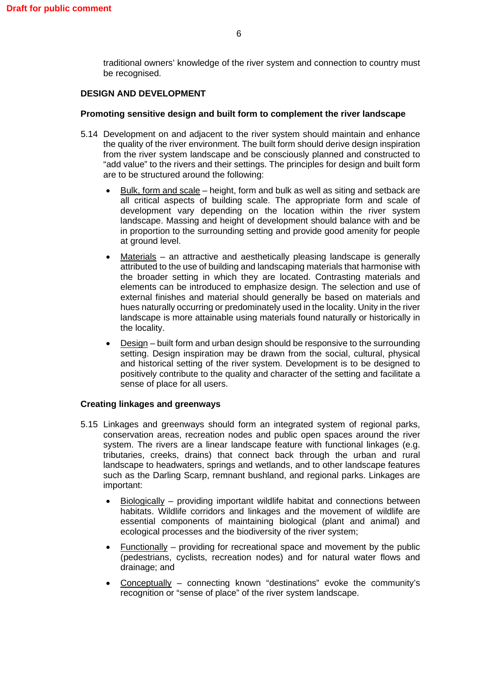traditional owners' knowledge of the river system and connection to country must be recognised.

## **DESIGN AND DEVELOPMENT**

## **Promoting sensitive design and built form to complement the river landscape**

- 5.14 Development on and adjacent to the river system should maintain and enhance the quality of the river environment. The built form should derive design inspiration from the river system landscape and be consciously planned and constructed to "add value" to the rivers and their settings. The principles for design and built form are to be structured around the following:
	- Bulk, form and scale height, form and bulk as well as siting and setback are all critical aspects of building scale. The appropriate form and scale of development vary depending on the location within the river system landscape. Massing and height of development should balance with and be in proportion to the surrounding setting and provide good amenity for people at ground level.
	- Materials an attractive and aesthetically pleasing landscape is generally attributed to the use of building and landscaping materials that harmonise with the broader setting in which they are located. Contrasting materials and elements can be introduced to emphasize design. The selection and use of external finishes and material should generally be based on materials and hues naturally occurring or predominately used in the locality. Unity in the river landscape is more attainable using materials found naturally or historically in the locality.
	- Design built form and urban design should be responsive to the surrounding setting. Design inspiration may be drawn from the social, cultural, physical and historical setting of the river system. Development is to be designed to positively contribute to the quality and character of the setting and facilitate a sense of place for all users.

## **Creating linkages and greenways**

- 5.15 Linkages and greenways should form an integrated system of regional parks, conservation areas, recreation nodes and public open spaces around the river system. The rivers are a linear landscape feature with functional linkages (e.g. tributaries, creeks, drains) that connect back through the urban and rural landscape to headwaters, springs and wetlands, and to other landscape features such as the Darling Scarp, remnant bushland, and regional parks. Linkages are important:
	- Biologically providing important wildlife habitat and connections between habitats. Wildlife corridors and linkages and the movement of wildlife are essential components of maintaining biological (plant and animal) and ecological processes and the biodiversity of the river system;
	- Functionally  $-$  providing for recreational space and movement by the public (pedestrians, cyclists, recreation nodes) and for natural water flows and drainage; and
	- Conceptually connecting known "destinations" evoke the community's recognition or "sense of place" of the river system landscape.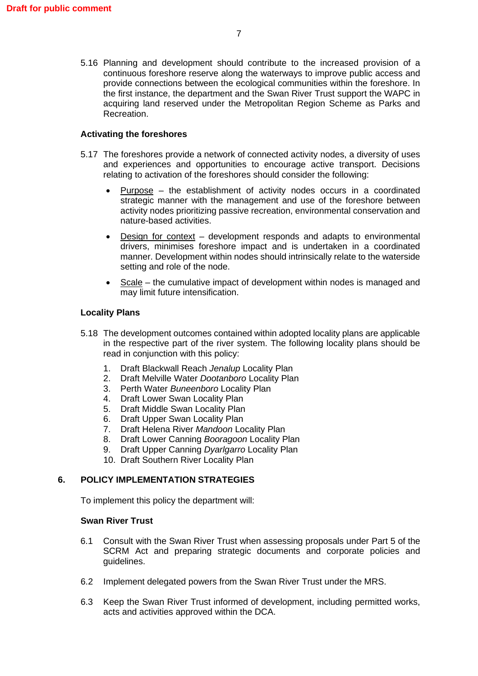5.16 Planning and development should contribute to the increased provision of a continuous foreshore reserve along the waterways to improve public access and provide connections between the ecological communities within the foreshore. In the first instance, the department and the Swan River Trust support the WAPC in acquiring land reserved under the Metropolitan Region Scheme as Parks and Recreation.

## **Activating the foreshores**

- 5.17 The foreshores provide a network of connected activity nodes, a diversity of uses and experiences and opportunities to encourage active transport. Decisions relating to activation of the foreshores should consider the following:
	- $Purpose the establishment of activity nodes occurs in a coordinated$ strategic manner with the management and use of the foreshore between activity nodes prioritizing passive recreation, environmental conservation and nature-based activities.
	- Design for context development responds and adapts to environmental drivers, minimises foreshore impact and is undertaken in a coordinated manner. Development within nodes should intrinsically relate to the waterside setting and role of the node.
	- Scale the cumulative impact of development within nodes is managed and may limit future intensification.

## **Locality Plans**

- 5.18 The development outcomes contained within adopted locality plans are applicable in the respective part of the river system. The following locality plans should be read in conjunction with this policy:
	- 1. Draft Blackwall Reach *Jenalup* Locality Plan
	- 2. Draft Melville Water *Dootanboro* Locality Plan
	- 3. Perth Water *Buneenboro* Locality Plan
	- 4. Draft Lower Swan Locality Plan
	- 5. Draft Middle Swan Locality Plan
	- 6. Draft Upper Swan Locality Plan
	- 7. Draft Helena River *Mandoon* Locality Plan
	- 8. Draft Lower Canning *Booragoon* Locality Plan
	- 9. Draft Upper Canning *Dyarlgarro* Locality Plan
	- 10. Draft Southern River Locality Plan

## **6. POLICY IMPLEMENTATION STRATEGIES**

To implement this policy the department will:

## **Swan River Trust**

- 6.1 Consult with the Swan River Trust when assessing proposals under Part 5 of the SCRM Act and preparing strategic documents and corporate policies and guidelines.
- 6.2 Implement delegated powers from the Swan River Trust under the MRS.
- 6.3 Keep the Swan River Trust informed of development, including permitted works, acts and activities approved within the DCA.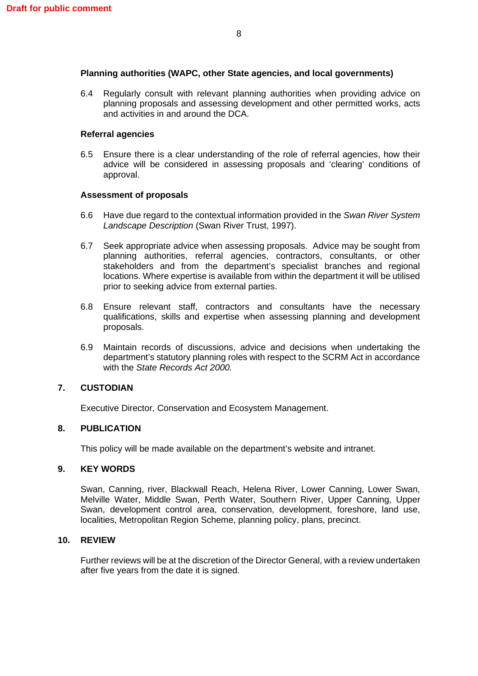## **Planning authorities (WAPC, other State agencies, and local governments)**

6.4 Regularly consult with relevant planning authorities when providing advice on planning proposals and assessing development and other permitted works, acts and activities in and around the DCA.

## **Referral agencies**

6.5 Ensure there is a clear understanding of the role of referral agencies, how their advice will be considered in assessing proposals and 'clearing' conditions of approval.

## **Assessment of proposals**

- 6.6 Have due regard to the contextual information provided in the *Swan River System Landscape Description* (Swan River Trust, 1997).
- 6.7 Seek appropriate advice when assessing proposals. Advice may be sought from planning authorities, referral agencies, contractors, consultants, or other stakeholders and from the department's specialist branches and regional locations. Where expertise is available from within the department it will be utilised prior to seeking advice from external parties.
- 6.8 Ensure relevant staff, contractors and consultants have the necessary qualifications, skills and expertise when assessing planning and development proposals.
- 6.9 Maintain records of discussions, advice and decisions when undertaking the department's statutory planning roles with respect to the SCRM Act in accordance with the *State Records Act 2000.*

## **7. CUSTODIAN**

Executive Director, Conservation and Ecosystem Management.

## **8. PUBLICATION**

This policy will be made available on the department's website and intranet.

## **9. KEY WORDS**

Swan, Canning, river, Blackwall Reach, Helena River, Lower Canning, Lower Swan, Melville Water, Middle Swan, Perth Water, Southern River, Upper Canning, Upper Swan, development control area, conservation, development, foreshore, land use, localities, Metropolitan Region Scheme, planning policy, plans, precinct.

## **10. REVIEW**

Further reviews will be at the discretion of the Director General, with a review undertaken after five years from the date it is signed.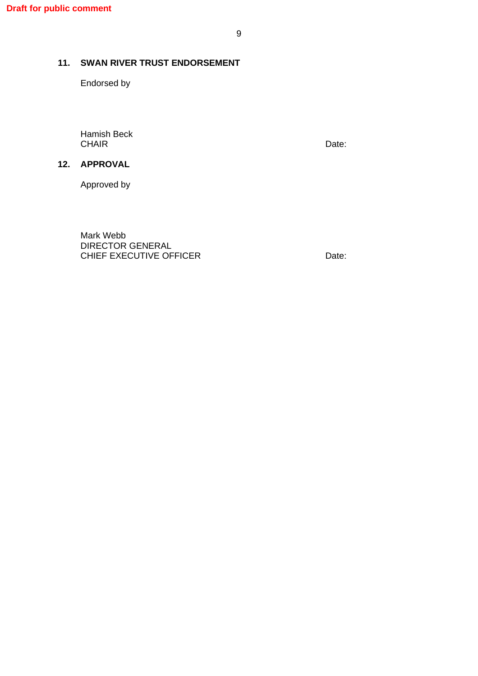## **11. SWAN RIVER TRUST ENDORSEMENT**

Endorsed by

Hamish Beck CHAIR Date:

Approved by

**12. APPROVAL**

Mark Webb DIRECTOR GENERAL CHIEF EXECUTIVE OFFICER DATE: Date: